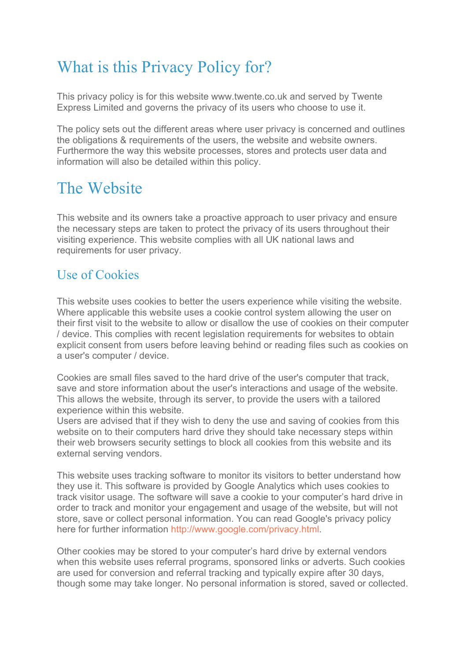## What is this Privacy Policy for?

This privacy policy is for this website www.twente.co.uk and served by Twente Express Limited and governs the privacy of its users who choose to use it.

The policy sets out the different areas where user privacy is concerned and outlines the obligations & requirements of the users, the website and website owners. Furthermore the way this website processes, stores and protects user data and information will also be detailed within this policy.

## The Website

This website and its owners take a proactive approach to user privacy and ensure the necessary steps are taken to protect the privacy of its users throughout their visiting experience. This website complies with all UK national laws and requirements for user privacy.

#### Use of Cookies

This website uses cookies to better the users experience while visiting the website. Where applicable this website uses a cookie control system allowing the user on their first visit to the website to allow or disallow the use of cookies on their computer / device. This complies with recent legislation requirements for websites to obtain explicit consent from users before leaving behind or reading files such as cookies on a user's computer / device.

Cookies are small files saved to the hard drive of the user's computer that track, save and store information about the user's interactions and usage of the website. This allows the website, through its server, to provide the users with a tailored experience within this website.

Users are advised that if they wish to deny the use and saving of cookies from this website on to their computers hard drive they should take necessary steps within their web browsers security settings to block all cookies from this website and its external serving vendors.

This website uses tracking software to monitor its visitors to better understand how they use it. This software is provided by Google Analytics which uses cookies to track visitor usage. The software will save a cookie to your computer's hard drive in order to track and monitor your engagement and usage of the website, but will not store, save or collect personal information. You can read Google's privacy policy here for further information<http://www.google.com/privacy.html>.

Other cookies may be stored to your computer's hard drive by external vendors when this website uses referral programs, sponsored links or adverts. Such cookies are used for conversion and referral tracking and typically expire after 30 days, though some may take longer. No personal information is stored, saved or collected.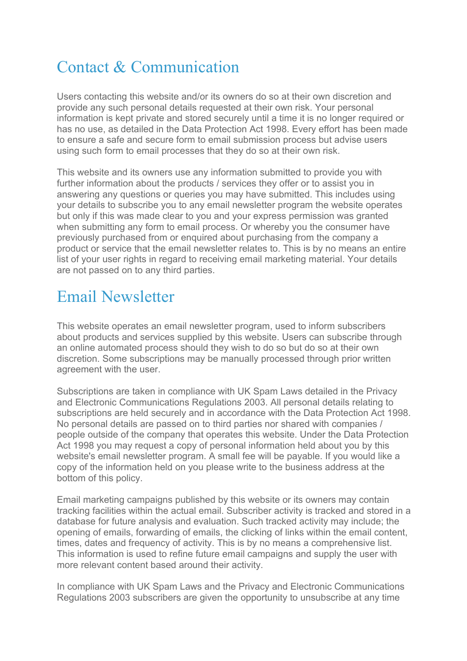# Contact & Communication

Users contacting this website and/or its owners do so at their own discretion and provide any such personal details requested at their own risk. Your personal information is kept private and stored securely until a time it is no longer required or has no use, as detailed in the Data Protection Act 1998. Every effort has been made to ensure a safe and secure form to email submission process but advise users using such form to email processes that they do so at their own risk.

This website and its owners use any information submitted to provide you with further information about the products / services they offer or to assist you in answering any questions or queries you may have submitted. This includes using your details to subscribe you to any email newsletter program the website operates but only if this was made clear to you and your express permission was granted when submitting any form to email process. Or whereby you the consumer have previously purchased from or enquired about purchasing from the company a product or service that the email newsletter relates to. This is by no means an entire list of your user rights in regard to receiving email marketing material. Your details are not passed on to any third parties.

#### Email Newsletter

This website operates an email newsletter program, used to inform subscribers about products and services supplied by this website. Users can subscribe through an online automated process should they wish to do so but do so at their own discretion. Some subscriptions may be manually processed through prior written agreement with the user.

Subscriptions are taken in compliance with UK Spam Laws detailed in the Privacy and Electronic Communications Regulations 2003. All personal details relating to subscriptions are held securely and in accordance with the Data Protection Act 1998. No personal details are passed on to third parties nor shared with companies / people outside of the company that operates this website. Under the Data Protection Act 1998 you may request a copy of personal information held about you by this website's email newsletter program. A small fee will be payable. If you would like a copy of the information held on you please write to the business address at the bottom of this policy.

Email marketing campaigns published by this website or its owners may contain tracking facilities within the actual email. Subscriber activity is tracked and stored in a database for future analysis and evaluation. Such tracked activity may include; the opening of emails, forwarding of emails, the clicking of links within the email content, times, dates and frequency of activity. This is by no means a comprehensive list. This information is used to refine future email campaigns and supply the user with more relevant content based around their activity.

In compliance with UK Spam Laws and the Privacy and Electronic Communications Regulations 2003 subscribers are given the opportunity to unsubscribe at any time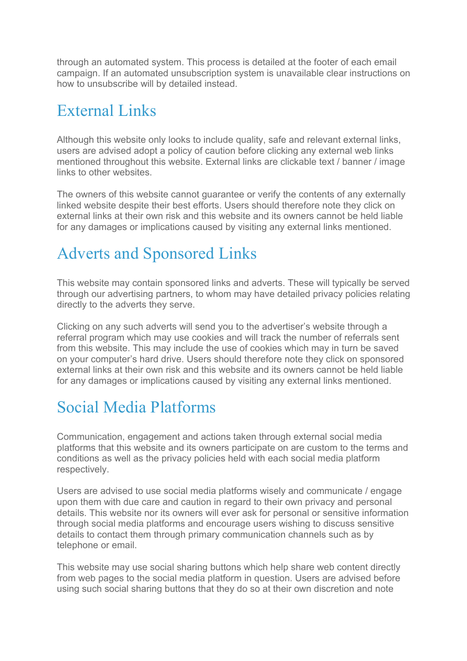through an automated system. This process is detailed at the footer of each email campaign. If an automated unsubscription system is unavailable clear instructions on how to unsubscribe will by detailed instead.

## External Links

Although this website only looks to include quality, safe and relevant external links, users are advised adopt a policy of caution before clicking any external web links mentioned throughout this website. External links are clickable text / banner / image links to other websites.

The owners of this website cannot guarantee or verify the contents of any externally linked website despite their best efforts. Users should therefore note they click on external links at their own risk and this website and its owners cannot be held liable for any damages or implications caused by visiting any external links mentioned.

# Adverts and Sponsored Links

This website may contain sponsored links and adverts. These will typically be served through our advertising partners, to whom may have detailed privacy policies relating directly to the adverts they serve.

Clicking on any such adverts will send you to the advertiser's website through a referral program which may use cookies and will track the number of referrals sent from this website. This may include the use of cookies which may in turn be saved on your computer's hard drive. Users should therefore note they click on sponsored external links at their own risk and this website and its owners cannot be held liable for any damages or implications caused by visiting any external links mentioned.

#### Social Media Platforms

Communication, engagement and actions taken through external social media platforms that this website and its owners participate on are custom to the terms and conditions as well as the privacy policies held with each social media platform respectively.

Users are advised to use social media platforms wisely and communicate / engage upon them with due care and caution in regard to their own privacy and personal details. This website nor its owners will ever ask for personal or sensitive information through social media platforms and encourage users wishing to discuss sensitive details to contact them through primary communication channels such as by telephone or email.

This website may use social sharing buttons which help share web content directly from web pages to the social media platform in question. Users are advised before using such social sharing buttons that they do so at their own discretion and note